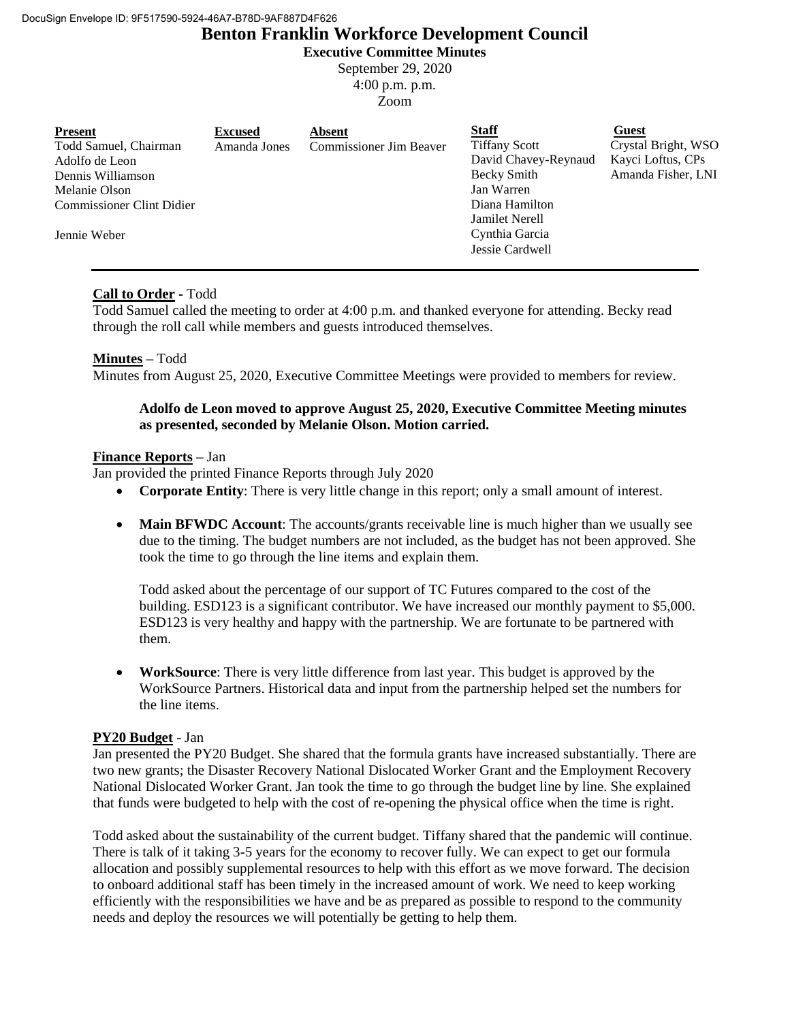# **Benton Franklin Workforce Development Council**

**Executive Committee Minutes**

September 29, 2020 4:00 p.m. p.m. Zoom

## **Call to Order -** Todd

Todd Samuel called the meeting to order at 4:00 p.m. and thanked everyone for attending. Becky read through the roll call while members and guests introduced themselves.

## **Minutes –** Todd

Minutes from August 25, 2020, Executive Committee Meetings were provided to members for review.

## **Adolfo de Leon moved to approve August 25, 2020, Executive Committee Meeting minutes as presented, seconded by Melanie Olson. Motion carried.**

### **Finance Reports –** Jan

Jan provided the printed Finance Reports through July 2020

- **Corporate Entity**: There is very little change in this report; only a small amount of interest.
- **Main BFWDC Account**: The accounts/grants receivable line is much higher than we usually see due to the timing. The budget numbers are not included, as the budget has not been approved. She took the time to go through the line items and explain them.

Todd asked about the percentage of our support of TC Futures compared to the cost of the building. ESD123 is a significant contributor. We have increased our monthly payment to \$5,000. ESD123 is very healthy and happy with the partnership. We are fortunate to be partnered with them.

 **WorkSource**: There is very little difference from last year. This budget is approved by the WorkSource Partners. Historical data and input from the partnership helped set the numbers for the line items.

## **PY20 Budget** - Jan

Jan presented the PY20 Budget. She shared that the formula grants have increased substantially. There are two new grants; the Disaster Recovery National Dislocated Worker Grant and the Employment Recovery National Dislocated Worker Grant. Jan took the time to go through the budget line by line. She explained that funds were budgeted to help with the cost of re-opening the physical office when the time is right.

Todd asked about the sustainability of the current budget. Tiffany shared that the pandemic will continue. There is talk of it taking 3-5 years for the economy to recover fully. We can expect to get our formula allocation and possibly supplemental resources to help with this effort as we move forward. The decision to onboard additional staff has been timely in the increased amount of work. We need to keep working efficiently with the responsibilities we have and be as prepared as possible to respond to the community needs and deploy the resources we will potentially be getting to help them.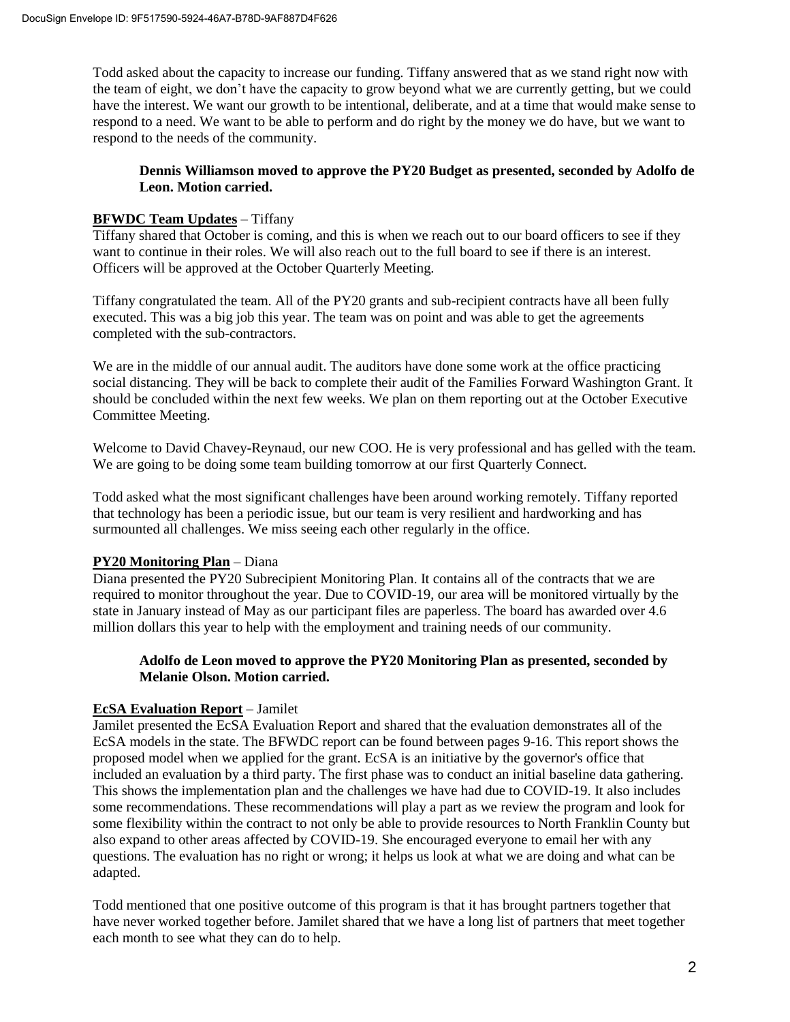Todd asked about the capacity to increase our funding. Tiffany answered that as we stand right now with the team of eight, we don't have the capacity to grow beyond what we are currently getting, but we could have the interest. We want our growth to be intentional, deliberate, and at a time that would make sense to respond to a need. We want to be able to perform and do right by the money we do have, but we want to respond to the needs of the community.

## **Dennis Williamson moved to approve the PY20 Budget as presented, seconded by Adolfo de Leon. Motion carried.**

## **BFWDC Team Updates** – Tiffany

Tiffany shared that October is coming, and this is when we reach out to our board officers to see if they want to continue in their roles. We will also reach out to the full board to see if there is an interest. Officers will be approved at the October Quarterly Meeting.

Tiffany congratulated the team. All of the PY20 grants and sub-recipient contracts have all been fully executed. This was a big job this year. The team was on point and was able to get the agreements completed with the sub-contractors.

We are in the middle of our annual audit. The auditors have done some work at the office practicing social distancing. They will be back to complete their audit of the Families Forward Washington Grant. It should be concluded within the next few weeks. We plan on them reporting out at the October Executive Committee Meeting.

Welcome to David Chavey-Reynaud, our new COO. He is very professional and has gelled with the team. We are going to be doing some team building tomorrow at our first Quarterly Connect.

Todd asked what the most significant challenges have been around working remotely. Tiffany reported that technology has been a periodic issue, but our team is very resilient and hardworking and has surmounted all challenges. We miss seeing each other regularly in the office.

## **PY20 Monitoring Plan** – Diana

Diana presented the PY20 Subrecipient Monitoring Plan. It contains all of the contracts that we are required to monitor throughout the year. Due to COVID-19, our area will be monitored virtually by the state in January instead of May as our participant files are paperless. The board has awarded over 4.6 million dollars this year to help with the employment and training needs of our community.

## **Adolfo de Leon moved to approve the PY20 Monitoring Plan as presented, seconded by Melanie Olson. Motion carried.**

# **EcSA Evaluation Report** – Jamilet

Jamilet presented the EcSA Evaluation Report and shared that the evaluation demonstrates all of the EcSA models in the state. The BFWDC report can be found between pages 9-16. This report shows the proposed model when we applied for the grant. EcSA is an initiative by the governor's office that included an evaluation by a third party. The first phase was to conduct an initial baseline data gathering. This shows the implementation plan and the challenges we have had due to COVID-19. It also includes some recommendations. These recommendations will play a part as we review the program and look for some flexibility within the contract to not only be able to provide resources to North Franklin County but also expand to other areas affected by COVID-19. She encouraged everyone to email her with any questions. The evaluation has no right or wrong; it helps us look at what we are doing and what can be adapted.

Todd mentioned that one positive outcome of this program is that it has brought partners together that have never worked together before. Jamilet shared that we have a long list of partners that meet together each month to see what they can do to help.